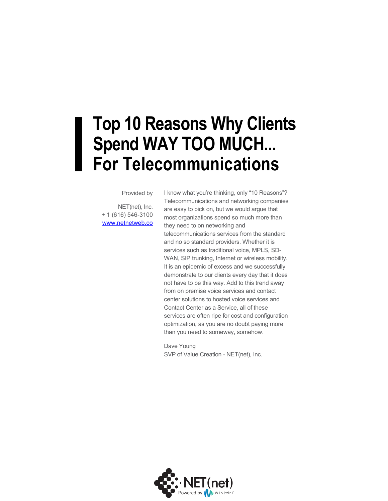### **Top 10 Reasons Why Clients Spend WAY TOO MUCH... For Telecommunications**

#### Provided by

NET(net), Inc. + 1 (616) 546-3100 [www.netnetweb.co](http://www.netnetweb.com/) I know what you're thinking, only "10 Reasons"? Telecommunications and networking companies are easy to pick on, but we would argue that most organizations spend so much more than they need to on networking and telecommunications services from the standard and no so standard providers. Whether it is services such as traditional voice, MPLS, SD-WAN, SIP trunking, Internet or wireless mobility. It is an epidemic of excess and we successfully demonstrate to our clients every day that it does not have to be this way. Add to this trend away from on premise voice services and contact center solutions to hosted voice services and Contact Center as a Service, all of these services are often ripe for cost and configuration optimization, as you are no doubt paying more than you need to someway, somehow.

Dave Young SVP of Value Creation - NET(net), Inc.

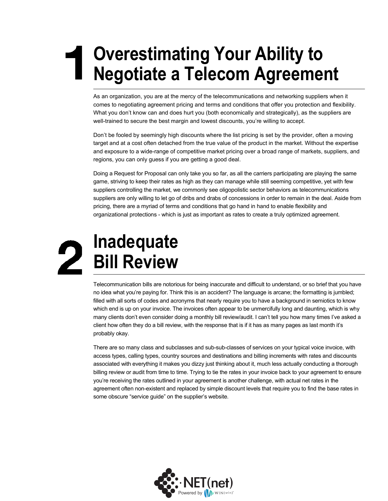# **Overestimating Your Ability to Negotiate a Telecom Agreement**

As an organization, you are at the mercy of the telecommunications and networking suppliers when it comes to negotiating agreement pricing and terms and conditions that offer you protection and flexibility. What you don't know can and does hurt you (both economically and strategically), as the suppliers are well-trained to secure the best margin and lowest discounts, you're willing to accept.

Don't be fooled by seemingly high discounts where the list pricing is set by the provider, often a moving target and at a cost often detached from the true value of the product in the market. Without the expertise and exposure to a wide-range of competitive market pricing over a broad range of markets, suppliers, and regions, you can only guess if you are getting a good deal.

Doing a Request for Proposal can only take you so far, as all the carriers participating are playing the same game, striving to keep their rates as high as they can manage while still seeming competitive, yet with few suppliers controlling the market, we commonly see oligopolistic sector behaviors as telecommunications suppliers are only willing to let go of dribs and drabs of concessions in order to remain in the deal. Aside from pricing, there are a myriad of terms and conditions that go hand in hand to enable flexibility and organizational protections - which is just as important as rates to create a truly optimized agreement.

# **Inadequate Bill Review**

Telecommunication bills are notorious for being inaccurate and difficult to understand, or so brief that you have no idea what you're paying for. Think this is an accident? The language is arcane; the formatting is jumbled; filled with all sorts of codes and acronyms that nearly require you to have a background in semiotics to know which end is up on your invoice. The invoices often appear to be unmercifully long and daunting, which is why many clients don't even consider doing a monthly bill review/audit. I can't tell you how many times I've asked a client how often they do a bill review, with the response that is if it has as many pages as last month it's probably okay.

There are so many class and subclasses and sub-sub-classes of services on your typical voice invoice, with access types, calling types, country sources and destinations and billing increments with rates and discounts associated with everything it makes you dizzy just thinking about it, much less actually conducting a thorough billing review or audit from time to time. Trying to tie the rates in your invoice back to your agreement to ensure you're receiving the rates outlined in your agreement is another challenge, with actual net rates in the agreement often non-existent and replaced by simple discount levels that require you to find the base rates in some obscure "service guide" on the supplier's website.

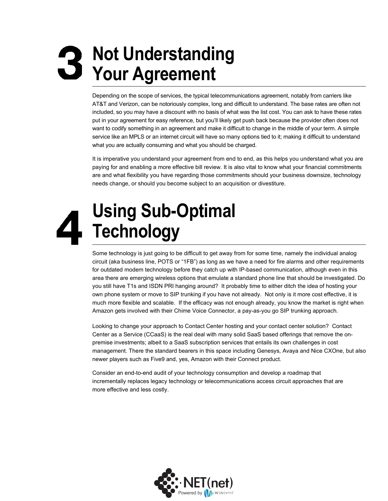# **Not Understanding Your Agreement**

Depending on the scope of services, the typical telecommunications agreement, notably from carriers like AT&T and Verizon, can be notoriously complex, long and difficult to understand. The base rates are often not included, so you may have a discount with no basis of what was the list cost. You can ask to have these rates put in your agreement for easy reference, but you'll likely get push back because the provider often does not want to codify something in an agreement and make it difficult to change in the middle of your term. A simple service like an MPLS or an internet circuit will have so many options tied to it; making it difficult to understand what you are actually consuming and what you should be charged.

It is imperative you understand your agreement from end to end, as this helps you understand what you are paying for and enabling a more effective bill review. It is also vital to know what your financial commitments are and what flexibility you have regarding those commitments should your business downsize, technology needs change, or should you become subject to an acquisition or divestiture.

# **Using Sub-Optimal Technology**

Some technology is just going to be difficult to get away from for some time, namely the individual analog circuit (aka business line, POTS or "1FB") as long as we have a need for fire alarms and other requirements for outdated modem technology before they catch up with IP-based communication, although even in this area there are emerging wireless options that emulate a standard phone line that should be investigated. Do you still have T1s and ISDN PRI hanging around? It probably time to either ditch the idea of hosting your own phone system or move to SIP trunking if you have not already. Not only is it more cost effective, it is much more flexible and scalable. If the efficacy was not enough already, you know the market is right when Amazon gets involved with their Chime Voice Connector, a pay-as-you go SIP trunking approach.

Looking to change your approach to Contact Center hosting and your contact center solution? Contact Center as a Service (CCaaS) is the real deal with many solid SaaS based offerings that remove the onpremise investments; albeit to a SaaS subscription services that entails its own challenges in cost management. There the standard bearers in this space including Genesys, Avaya and Nice CXOne, but also newer players such as Five9 and, yes, Amazon with their Connect product.

Consider an end-to-end audit of your technology consumption and develop a roadmap that incrementally replaces legacy technology or telecommunications access circuit approaches that are more effective and less costly.

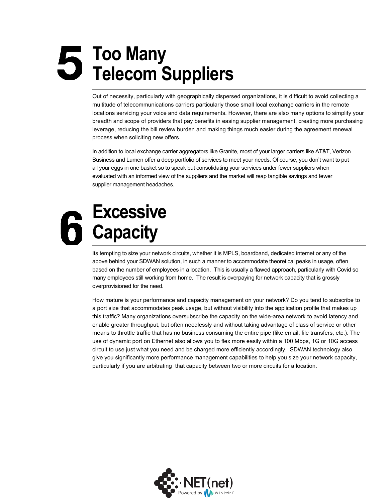# **Too Many Telecom Suppliers**

Out of necessity, particularly with geographically dispersed organizations, it is difficult to avoid collecting a multitude of telecommunications carriers particularly those small local exchange carriers in the remote locations servicing your voice and data requirements. However, there are also many options to simplify your breadth and scope of providers that pay benefits in easing supplier management, creating more purchasing leverage, reducing the bill review burden and making things much easier during the agreement renewal process when soliciting new offers.

In addition to local exchange carrier aggregators like Granite, most of your larger carriers like AT&T, Verizon Business and Lumen offer a deep portfolio of services to meet your needs. Of course, you don't want to put all your eggs in one basket so to speak but consolidating your services under fewer suppliers when evaluated with an informed view of the suppliers and the market will reap tangible savings and fewer supplier management headaches.

# **Excessive Capacity**

Its tempting to size your network circuits, whether it is MPLS, boardband, dedicated internet or any of the above behind your SDWAN solution, in such a manner to accommodate theoretical peaks in usage, often based on the number of employees in a location. This is usually a flawed approach, particularly with Covid so many employees still working from home. The result is overpaying for network capacity that is grossly overprovisioned for the need.

How mature is your performance and capacity management on your network? Do you tend to subscribe to a port size that accommodates peak usage, but without visibility into the application profile that makes up this traffic? Many organizations oversubscribe the capacity on the wide-area network to avoid latency and enable greater throughput, but often needlessly and without taking advantage of class of service or other means to throttle traffic that has no business consuming the entire pipe (like email, file transfers, etc.). The use of dynamic port on Ethernet also allows you to flex more easily within a 100 Mbps, 1G or 10G access circuit to use just what you need and be charged more efficiently accordingly. SDWAN technology also give you significantly more performance management capabilities to help you size your network capacity, particularly if you are arbitrating that capacity between two or more circuits for a location.

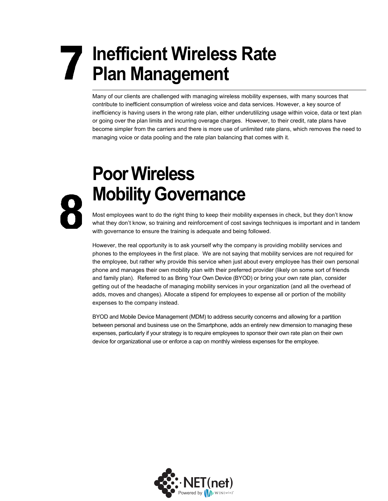# **Inefficient Wireless Rate Plan Management**

Many of our clients are challenged with managing wireless mobility expenses, with many sources that contribute to inefficient consumption of wireless voice and data services. However, a key source of inefficiency is having users in the wrong rate plan, either underutilizing usage within voice, data or text plan or going over the plan limits and incurring overage charges. However, to their credit, rate plans have become simpler from the carriers and there is more use of unlimited rate plans, which removes the need to managing voice or data pooling and the rate plan balancing that comes with it.

# **Poor Wireless Mobility Governance**

Most employees want to do the right thing to keep their mobility expenses in check, but they don't know what they don't know, so training and reinforcement of cost savings techniques is important and in tandem with governance to ensure the training is adequate and being followed.

However, the real opportunity is to ask yourself why the company is providing mobility services and phones to the employees in the first place. We are not saying that mobility services are not required for the employee, but rather why provide this service when just about every employee has their own personal phone and manages their own mobility plan with their preferred provider (likely on some sort of friends and family plan). Referred to as Bring Your Own Device (BYOD) or bring your own rate plan, consider getting out of the headache of managing mobility services in your organization (and all the overhead of adds, moves and changes). Allocate a stipend for employees to expense all or portion of the mobility expenses to the company instead.

BYOD and Mobile Device Management (MDM) to address security concerns and allowing for a partition between personal and business use on the Smartphone, adds an entirely new dimension to managing these expenses, particularly if your strategy is to require employees to sponsor their own rate plan on their own device for organizational use or enforce a cap on monthly wireless expenses for the employee.

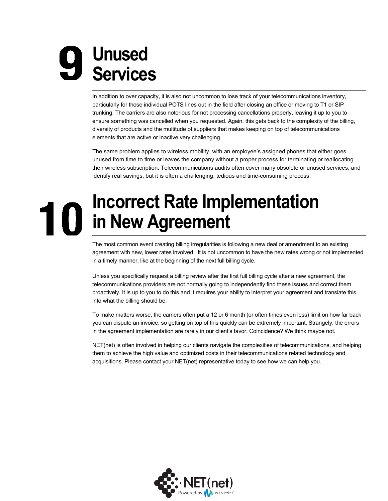# **Unused Services**

In addition to over capacity, it is also not uncommon to lose track of your telecommunications inventory, particularly for those individual POTS lines out in the field after closing an office or moving to T1 or SIP trunking. The carriers are also notorious for not processing cancellations properly, leaving it up to you to ensure something was cancelled when you requested. Again, this gets back to the complexity of the billing, diversity of products and the multitude of suppliers that makes keeping on top of telecommunications elements that are active or inactive very challenging.

The same problem applies to wireless mobility, with an employee's assigned phones that either goes unused from time to time or leaves the company without a proper process for terminating or reallocating their wireless subscription. Telecommunications audits often cover many obsolete or unused services, and identify real savings, but it is often a challenging, tedious and time-consuming process.

#### **Incorrect Rate Implementation** 10 **in New Agreement**

The most common event creating billing irregularities is following a new deal or amendment to an existing agreement with new, lower rates involved. It is not uncommon to have the new rates wrong or not implemented in a timely manner, like at the beginning of the next full billing cycle.

Unless you specifically request a billing review after the first full billing cycle after a new agreement, the telecommunications providers are not normally going to independently find these issues and correct them proactively. It is up to you to do this and it requires your ability to interpret your agreement and translate this into what the billing should be.

To make matters worse, the carriers often put a 12 or 6 month (or often times even less) limit on how far back you can dispute an invoice, so getting on top of this quickly can be extremely important. Strangely, the errors in the agreement implementation are rarely in our client's favor. Coincidence? We think maybe not.

NET(net) is often involved in helping our clients navigate the complexities of telecommunications, and helping them to achieve the high value and optimized costs in their telecommunications related technology and acquisitions. Please contact your NET(net) representative today to see how we can help you.